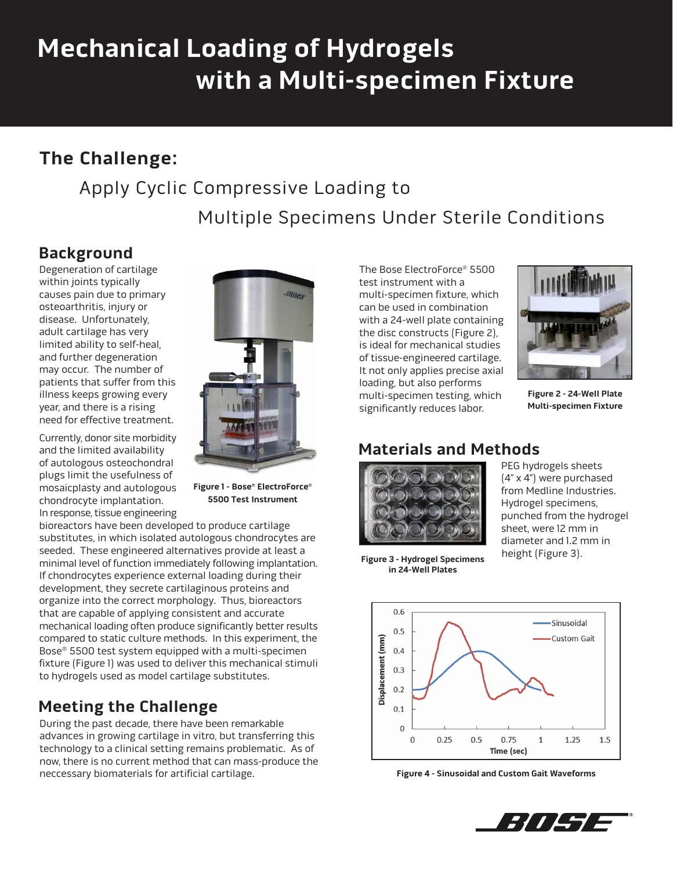# **Mechanical Loading of Hydrogels with a Multi-specimen Fixture**

# **The Challenge:**

# Apply Cyclic Compressive Loading to

Multiple Specimens Under Sterile Conditions

## **Background**

Degeneration of cartilage within joints typically causes pain due to primary osteoarthritis, injury or disease. Unfortunately, adult cartilage has very limited ability to self-heal, and further degeneration may occur. The number of patients that suffer from this illness keeps growing every year, and there is a rising need for effective treatment.

Currently, donor site morbidity and the limited availability of autologous osteochondral plugs limit the usefulness of mosaicplasty and autologous chondrocyte implantation. In response, tissue engineering



**Figure 1 - Bose® ElectroForce® 5500 Test Instrument**

bioreactors have been developed to produce cartilage substitutes, in which isolated autologous chondrocytes are seeded. These engineered alternatives provide at least a minimal level of function immediately following implantation. If chondrocytes experience external loading during their development, they secrete cartilaginous proteins and organize into the correct morphology. Thus, bioreactors that are capable of applying consistent and accurate mechanical loading often produce significantly better results compared to static culture methods. In this experiment, the Bose® 5500 test system equipped with a multi-specimen fixture (Figure 1) was used to deliver this mechanical stimuli to hydrogels used as model cartilage substitutes.

# **Meeting the Challenge**

During the past decade, there have been remarkable advances in growing cartilage in vitro, but transferring this technology to a clinical setting remains problematic. As of now, there is no current method that can mass-produce the neccessary biomaterials for artificial cartilage.

The Bose ElectroForce® 5500 test instrument with a multi-specimen fixture, which can be used in combination with a 24-well plate containing the disc constructs (Figure 2), is ideal for mechanical studies of tissue-engineered cartilage. It not only applies precise axial loading, but also performs multi-specimen testing, which significantly reduces labor.



**Figure 2 - 24-Well Plate Multi-specimen Fixture**

### **Materials and Methods**



PEG hydrogels sheets (4" x 4") were purchased from Medline Industries. Hydrogel specimens, punched from the hydrogel sheet, were 12 mm in diameter and 1.2 mm in height (Figure 3).

**Figure 3 - Hydrogel Specimens in 24-Well Plates**



**Figure 4 - Sinusoidal and Custom Gait Waveforms**